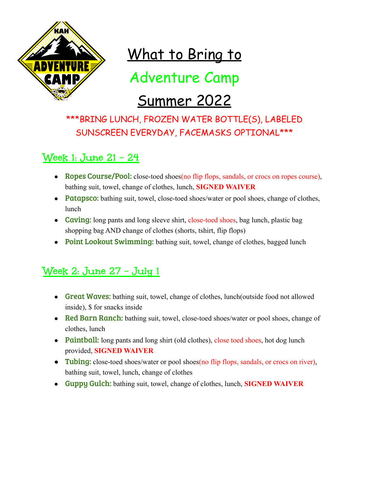

# What to Bring to

Adventure Camp

# Summer 2022

## \*\*\*BRING LUNCH, FROZEN WATER BOTTLE(S), LABELED SUNSCREEN EVERYDAY, FACEMASKS OPTIONAL\*\*\*

## **Week 1: June 21 - 24**

- Ropes Course/Pool: close-toed shoes(no flip flops, sandals, or crocs on ropes course), bathing suit, towel, change of clothes, lunch, **SIGNED WAIVER**
- Patapsco: bathing suit, towel, close-toed shoes/water or pool shoes, change of clothes, lunch
- Caving: long pants and long sleeve shirt, close-toed shoes, bag lunch, plastic bag shopping bag AND change of clothes (shorts, tshirt, flip flops)
- Point Lookout Swimming: bathing suit, towel, change of clothes, bagged lunch

## **Week 2: June 27 - July 1**

- Great Waves: bathing suit, towel, change of clothes, lunch(outside food not allowed inside), \$ for snacks inside
- Red Barn Ranch: bathing suit, towel, close-toed shoes/water or pool shoes, change of clothes, lunch
- Paintball: long pants and long shirt (old clothes), close toed shoes, hot dog lunch provided, **SIGNED WAIVER**
- Tubing: close-toed shoes/water or pool shoes(no flip flops, sandals, or crocs on river), bathing suit, towel, lunch, change of clothes
- Guppy Gulch: bathing suit, towel, change of clothes, lunch, **SIGNED WAIVER**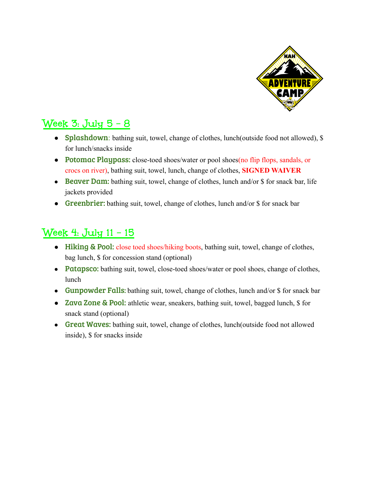

### **Week 3: July 5 - 8**

- Splashdown: bathing suit, towel, change of clothes, lunch(outside food not allowed), \$ for lunch/snacks inside
- Potomac Playpass: close-toed shoes/water or pool shoes(no flip flops, sandals, or crocs on river), bathing suit, towel, lunch, change of clothes, **SIGNED WAIVER**
- Beaver Dam: bathing suit, towel, change of clothes, lunch and/or \$ for snack bar, life jackets provided
- Greenbrier: bathing suit, towel, change of clothes, lunch and/or \$ for snack bar

#### **Week 4: July 11 - 15**

- Hiking & Pool: close toed shoes/hiking boots, bathing suit, towel, change of clothes, bag lunch, \$ for concession stand (optional)
- Patapsco: bathing suit, towel, close-toed shoes/water or pool shoes, change of clothes, lunch
- Gunpowder Falls: bathing suit, towel, change of clothes, lunch and/or \$ for snack bar
- Zava Zone & Pool: athletic wear, sneakers, bathing suit, towel, bagged lunch, \$ for snack stand (optional)
- Great Waves: bathing suit, towel, change of clothes, lunch(outside food not allowed inside), \$ for snacks inside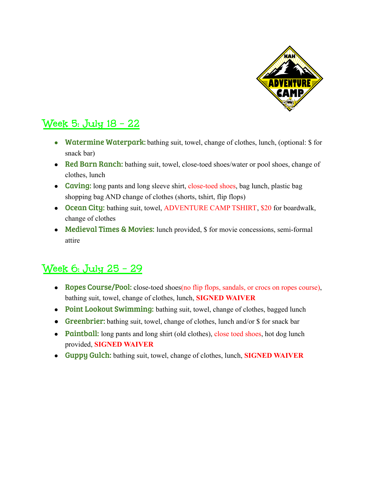

#### **Week 5: July 18 - 22**

- Watermine Waterpark: bathing suit, towel, change of clothes, lunch, (optional: \$ for snack bar)
- Red Barn Ranch: bathing suit, towel, close-toed shoes/water or pool shoes, change of clothes, lunch
- Caving: long pants and long sleeve shirt, close-toed shoes, bag lunch, plastic bag shopping bag AND change of clothes (shorts, tshirt, flip flops)
- Ocean City: bathing suit, towel, ADVENTURE CAMP TSHIRT, \$20 for boardwalk, change of clothes
- Medieval Times & Movies: lunch provided, \$ for movie concessions, semi-formal attire

## **Week 6: July 25 - 29**

- Ropes Course/Pool: close-toed shoes(no flip flops, sandals, or crocs on ropes course), bathing suit, towel, change of clothes, lunch, **SIGNED WAIVER**
- Point Lookout Swimming: bathing suit, towel, change of clothes, bagged lunch
- Greenbrier: bathing suit, towel, change of clothes, lunch and/or \$ for snack bar
- Paintball: long pants and long shirt (old clothes), close toed shoes, hot dog lunch provided, **SIGNED WAIVER**
- Guppy Gulch: bathing suit, towel, change of clothes, lunch, **SIGNED WAIVER**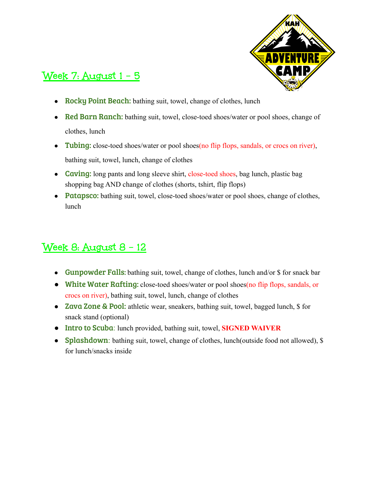

## **Week 7: August 1 - 5**

- Rocky Point Beach: bathing suit, towel, change of clothes, lunch
- Red Barn Ranch: bathing suit, towel, close-toed shoes/water or pool shoes, change of clothes, lunch
- Tubing: close-toed shoes/water or pool shoes(no flip flops, sandals, or crocs on river), bathing suit, towel, lunch, change of clothes
- Caving: long pants and long sleeve shirt, close-toed shoes, bag lunch, plastic bag shopping bag AND change of clothes (shorts, tshirt, flip flops)
- Patapsco: bathing suit, towel, close-toed shoes/water or pool shoes, change of clothes, lunch

## **Week 8: August 8 - 12**

- Gunpowder Falls: bathing suit, towel, change of clothes, lunch and/or \$ for snack bar
- White Water Rafting: close-toed shoes/water or pool shoes(no flip flops, sandals, or crocs on river), bathing suit, towel, lunch, change of clothes
- Zava Zone & Pool: athletic wear, sneakers, bathing suit, towel, bagged lunch, \$ for snack stand (optional)
- Intro to Scuba: lunch provided, bathing suit, towel, **SIGNED WAIVER**
- **●** Splashdown: bathing suit, towel, change of clothes, lunch(outside food not allowed), \$ for lunch/snacks inside